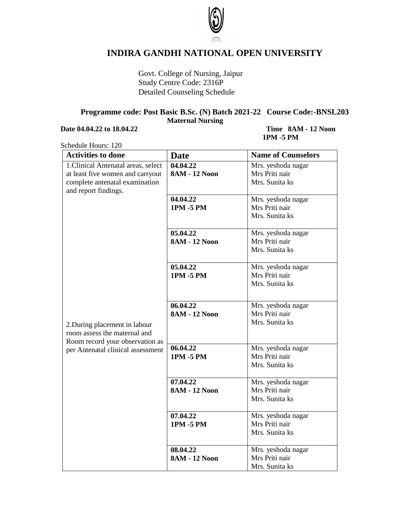

## **INDIRA GANDHI NATIONAL OPEN UNIVERSITY**

Govt. College of Nursing, Jaipur Study Centre Code: 2316P Detailed Counseling Schedule

## **Programme code: Post Basic B.Sc. (N) Batch 2021-22 Course Code:-BNSL203 Maternal Nursing**

## **Date 04.04.22 to 18.04.22** Time 8AM **-** 12 Noon

## **1PM -5 PM**

Schedule Hours: 120

| <b>Activities to done</b>           | <b>Date</b>          | <b>Name of Counselors</b>            |
|-------------------------------------|----------------------|--------------------------------------|
| 1. Clinical Antenatal areas, select | 04.04.22             | Mrs. yeshoda nagar                   |
| at least five women and carryout    | <b>8AM - 12 Noon</b> | Mrs Priti nair                       |
| complete antenatal examination      |                      | Mrs. Sunita ks                       |
| and report findings.                |                      |                                      |
|                                     | 04.04.22             | Mrs. yeshoda nagar                   |
|                                     | 1PM -5 PM            | Mrs Priti nair                       |
|                                     |                      | Mrs. Sunita ks                       |
|                                     | 05.04.22             | Mrs. yeshoda nagar                   |
|                                     | <b>8AM - 12 Noon</b> | Mrs Priti nair                       |
|                                     |                      | Mrs. Sunita ks                       |
|                                     |                      |                                      |
|                                     | 05.04.22             | Mrs. yeshoda nagar                   |
|                                     | 1PM -5 PM            | Mrs Priti nair                       |
|                                     |                      | Mrs. Sunita ks                       |
|                                     |                      |                                      |
|                                     | 06.04.22             | Mrs. yeshoda nagar                   |
|                                     | <b>8AM - 12 Noon</b> | Mrs Priti nair                       |
| 2. During placement in labour       |                      | Mrs. Sunita ks                       |
| room assess the maternal and        |                      |                                      |
| Room record your observation as     |                      |                                      |
| per Antenatal clinical assessment   | 06.04.22             | Mrs. yeshoda nagar                   |
|                                     | 1PM -5 PM            | Mrs Priti nair                       |
|                                     |                      | Mrs. Sunita ks                       |
|                                     | 07.04.22             | Mrs. yeshoda nagar                   |
|                                     | <b>8AM - 12 Noon</b> | Mrs Priti nair                       |
|                                     |                      | Mrs. Sunita ks                       |
|                                     |                      |                                      |
|                                     | 07.04.22             | Mrs. yeshoda nagar                   |
|                                     | 1PM -5 PM            | Mrs Priti nair                       |
|                                     |                      | Mrs. Sunita ks                       |
|                                     | 08.04.22             |                                      |
|                                     | <b>8AM - 12 Noon</b> | Mrs. yeshoda nagar<br>Mrs Priti nair |
|                                     |                      | Mrs. Sunita ks                       |
|                                     |                      |                                      |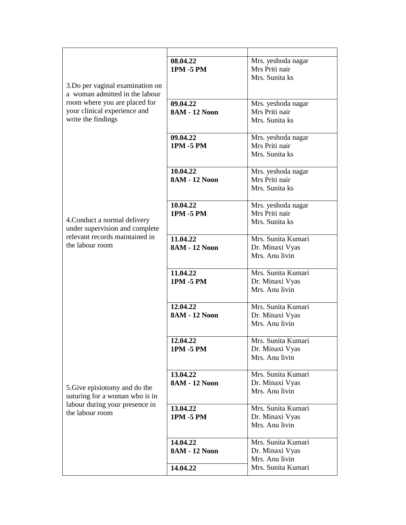|                                                                                                                                                           | 08.04.22             | Mrs. yeshoda nagar |
|-----------------------------------------------------------------------------------------------------------------------------------------------------------|----------------------|--------------------|
|                                                                                                                                                           | 1PM -5 PM            | Mrs Priti nair     |
|                                                                                                                                                           |                      | Mrs. Sunita ks     |
|                                                                                                                                                           |                      |                    |
| 3. Do per vaginal examination on<br>a woman admitted in the labour<br>room where you are placed for<br>your clinical experience and<br>write the findings |                      |                    |
|                                                                                                                                                           |                      |                    |
|                                                                                                                                                           | 09.04.22             | Mrs. yeshoda nagar |
|                                                                                                                                                           | <b>8AM - 12 Noon</b> | Mrs Priti nair     |
|                                                                                                                                                           |                      | Mrs. Sunita ks     |
|                                                                                                                                                           |                      |                    |
|                                                                                                                                                           | 09.04.22             | Mrs. yeshoda nagar |
|                                                                                                                                                           | 1PM -5 PM            | Mrs Priti nair     |
|                                                                                                                                                           |                      | Mrs. Sunita ks     |
|                                                                                                                                                           |                      |                    |
|                                                                                                                                                           |                      |                    |
|                                                                                                                                                           | 10.04.22             | Mrs. yeshoda nagar |
|                                                                                                                                                           | <b>8AM - 12 Noon</b> | Mrs Priti nair     |
|                                                                                                                                                           |                      | Mrs. Sunita ks     |
|                                                                                                                                                           |                      |                    |
|                                                                                                                                                           | 10.04.22             | Mrs. yeshoda nagar |
|                                                                                                                                                           | <b>1PM -5 PM</b>     | Mrs Priti nair     |
| 4. Conduct a normal delivery                                                                                                                              |                      | Mrs. Sunita ks     |
| under supervision and complete                                                                                                                            |                      |                    |
| relevant records maintained in                                                                                                                            | 11.04.22             | Mrs. Sunita Kumari |
| the labour room                                                                                                                                           |                      |                    |
|                                                                                                                                                           | <b>8AM - 12 Noon</b> | Dr. Minaxi Vyas    |
|                                                                                                                                                           |                      | Mrs. Anu livin     |
|                                                                                                                                                           |                      |                    |
|                                                                                                                                                           | 11.04.22             | Mrs. Sunita Kumari |
|                                                                                                                                                           | 1PM -5 PM            | Dr. Minaxi Vyas    |
|                                                                                                                                                           |                      | Mrs. Anu livin     |
|                                                                                                                                                           |                      |                    |
|                                                                                                                                                           | 12.04.22             | Mrs. Sunita Kumari |
|                                                                                                                                                           | <b>8AM - 12 Noon</b> | Dr. Minaxi Vyas    |
|                                                                                                                                                           |                      | Mrs. Anu livin     |
|                                                                                                                                                           |                      |                    |
|                                                                                                                                                           |                      |                    |
| 5. Give episiotomy and do the<br>suturing for a woman who is in                                                                                           | 12.04.22             | Mrs. Sunita Kumari |
|                                                                                                                                                           | 1PM -5 PM            | Dr. Minaxi Vyas    |
|                                                                                                                                                           |                      | Mrs. Anu livin     |
|                                                                                                                                                           |                      |                    |
|                                                                                                                                                           | 13.04.22             | Mrs. Sunita Kumari |
|                                                                                                                                                           | <b>8AM - 12 Noon</b> | Dr. Minaxi Vyas    |
|                                                                                                                                                           |                      | Mrs. Anu livin     |
|                                                                                                                                                           |                      |                    |
| labour during your presence in                                                                                                                            | 13.04.22             | Mrs. Sunita Kumari |
| the labour room                                                                                                                                           | 1PM -5 PM            |                    |
|                                                                                                                                                           |                      | Dr. Minaxi Vyas    |
|                                                                                                                                                           |                      | Mrs. Anu livin     |
|                                                                                                                                                           |                      |                    |
|                                                                                                                                                           | 14.04.22             | Mrs. Sunita Kumari |
|                                                                                                                                                           | <b>8AM - 12 Noon</b> | Dr. Minaxi Vyas    |
|                                                                                                                                                           |                      | Mrs. Anu livin     |
|                                                                                                                                                           | 14.04.22             | Mrs. Sunita Kumari |
|                                                                                                                                                           |                      |                    |